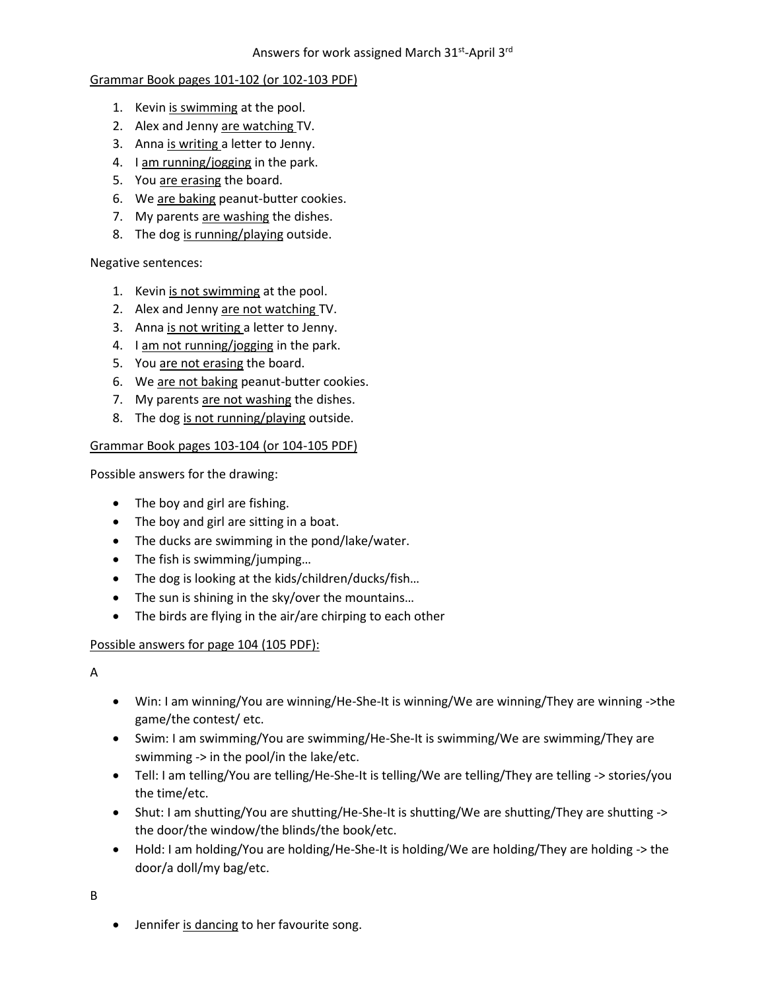# Grammar Book pages 101-102 (or 102-103 PDF)

- 1. Kevin is swimming at the pool.
- 2. Alex and Jenny are watching TV.
- 3. Anna is writing a letter to Jenny.
- 4. I am running/jogging in the park.
- 5. You are erasing the board.
- 6. We are baking peanut-butter cookies.
- 7. My parents are washing the dishes.
- 8. The dog is running/playing outside.

### Negative sentences:

- 1. Kevin is not swimming at the pool.
- 2. Alex and Jenny are not watching TV.
- 3. Anna is not writing a letter to Jenny.
- 4. I am not running/jogging in the park.
- 5. You are not erasing the board.
- 6. We are not baking peanut-butter cookies.
- 7. My parents are not washing the dishes.
- 8. The dog is not running/playing outside.

### Grammar Book pages 103-104 (or 104-105 PDF)

Possible answers for the drawing:

- The boy and girl are fishing.
- The boy and girl are sitting in a boat.
- The ducks are swimming in the pond/lake/water.
- The fish is swimming/jumping...
- The dog is looking at the kids/children/ducks/fish…
- The sun is shining in the sky/over the mountains...
- The birds are flying in the air/are chirping to each other

# Possible answers for page 104 (105 PDF):

A

- Win: I am winning/You are winning/He-She-It is winning/We are winning/They are winning ->the game/the contest/ etc.
- Swim: I am swimming/You are swimming/He-She-It is swimming/We are swimming/They are swimming -> in the pool/in the lake/etc.
- Tell: I am telling/You are telling/He-She-It is telling/We are telling/They are telling -> stories/you the time/etc.
- Shut: I am shutting/You are shutting/He-She-It is shutting/We are shutting/They are shutting -> the door/the window/the blinds/the book/etc.
- Hold: I am holding/You are holding/He-She-It is holding/We are holding/They are holding -> the door/a doll/my bag/etc.

B

• Jennifer is dancing to her favourite song.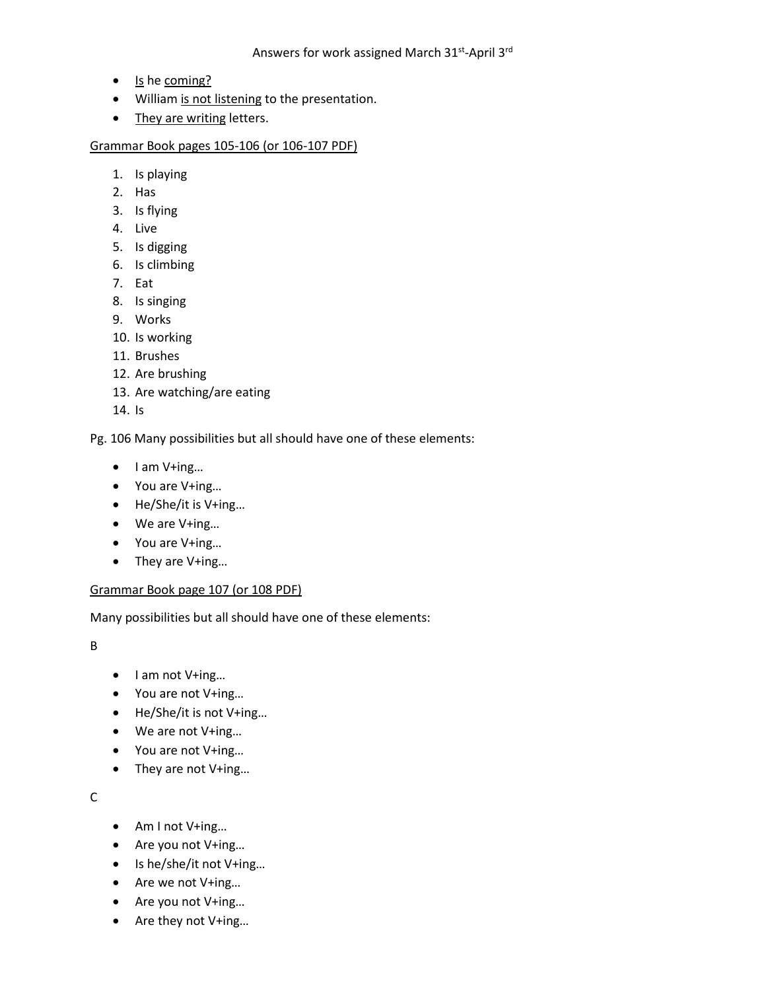- Is he coming?
- William is not listening to the presentation.
- They are writing letters.

Grammar Book pages 105-106 (or 106-107 PDF)

- 1. Is playing
- 2. Has
- 3. Is flying
- 4. Live
- 5. Is digging
- 6. Is climbing
- 7. Eat
- 8. Is singing
- 9. Works
- 10. Is working
- 11. Brushes
- 12. Are brushing
- 13. Are watching/are eating
- 14. Is

Pg. 106 Many possibilities but all should have one of these elements:

- I am V+ing…
- You are V+ing…
- He/She/it is V+ing…
- We are V+ing…
- You are V+ing…
- They are V+ing…

#### Grammar Book page 107 (or 108 PDF)

Many possibilities but all should have one of these elements:

B

- I am not V+ing...
- You are not V+ing…
- He/She/it is not V+ing…
- We are not V+ing…
- You are not V+ing…
- They are not V+ing...

C

- Am I not V+ing…
- Are you not V+ing…
- Is he/she/it not V+ing…
- Are we not V+ing…
- Are you not V+ing…
- Are they not V+ing…